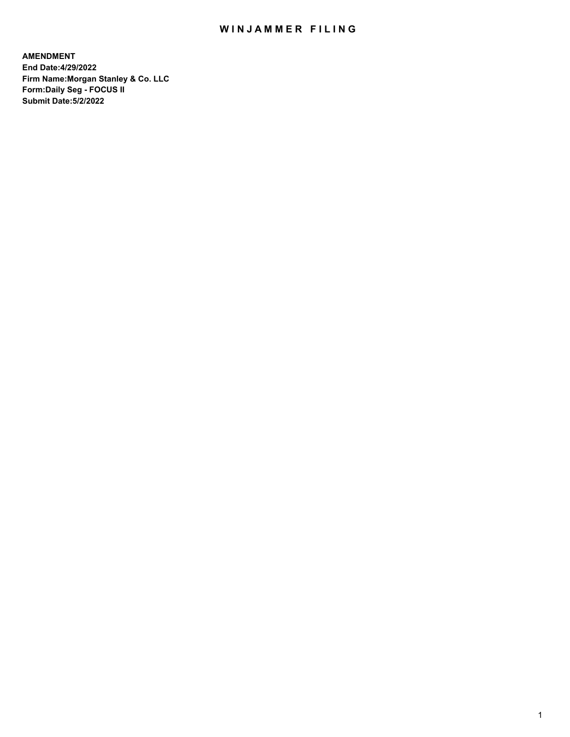## WIN JAMMER FILING

**AMENDMENT End Date:4/29/2022 Firm Name:Morgan Stanley & Co. LLC Form:Daily Seg - FOCUS II Submit Date:5/2/2022**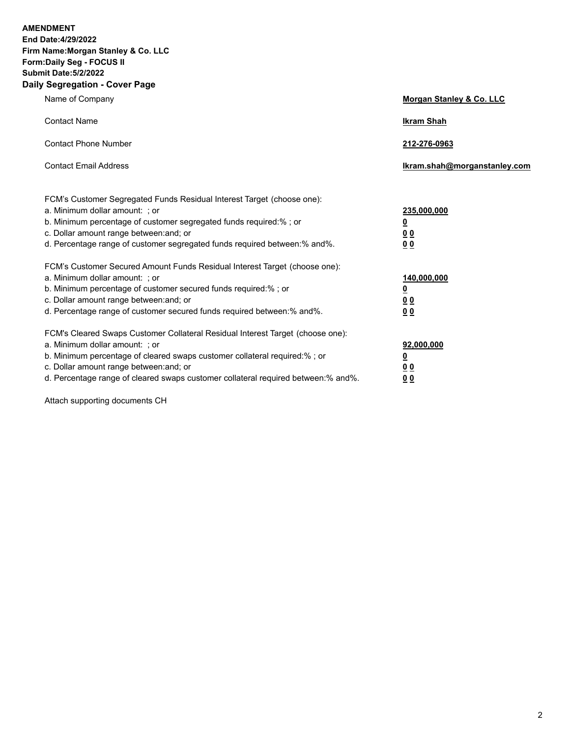**AMENDMENT** 

**End Date:4/29/2022 Firm Name:Morgan Stanley & Co. LLC Form:Daily Seg - FOCUS II Submit Date:5/2/2022 Daily Segregation - Cover Page**

| $-99.99$ and $-99.91$                                                                                                                                                                                                                                                                                                         |                                                            |
|-------------------------------------------------------------------------------------------------------------------------------------------------------------------------------------------------------------------------------------------------------------------------------------------------------------------------------|------------------------------------------------------------|
| Name of Company                                                                                                                                                                                                                                                                                                               | Morgan Stanley & Co. LLC                                   |
| <b>Contact Name</b>                                                                                                                                                                                                                                                                                                           | <b>Ikram Shah</b>                                          |
| <b>Contact Phone Number</b>                                                                                                                                                                                                                                                                                                   | 212-276-0963                                               |
| <b>Contact Email Address</b>                                                                                                                                                                                                                                                                                                  | Ikram.shah@morganstanley.com                               |
| FCM's Customer Segregated Funds Residual Interest Target (choose one):<br>a. Minimum dollar amount: ; or<br>b. Minimum percentage of customer segregated funds required:%; or<br>c. Dollar amount range between: and; or<br>d. Percentage range of customer segregated funds required between:% and%.                         | 235,000,000<br><u>0</u><br><u>00</u><br>0 <sub>0</sub>     |
| FCM's Customer Secured Amount Funds Residual Interest Target (choose one):<br>a. Minimum dollar amount: ; or<br>b. Minimum percentage of customer secured funds required:%; or<br>c. Dollar amount range between: and; or<br>d. Percentage range of customer secured funds required between: % and %.                         | 140,000,000<br><u>0</u><br><u>0 0</u><br>0 <sup>0</sup>    |
| FCM's Cleared Swaps Customer Collateral Residual Interest Target (choose one):<br>a. Minimum dollar amount: ; or<br>b. Minimum percentage of cleared swaps customer collateral required:%; or<br>c. Dollar amount range between: and; or<br>d. Percentage range of cleared swaps customer collateral required between:% and%. | 92,000,000<br><u>0</u><br>0 <sup>0</sup><br>0 <sub>0</sub> |

Attach supporting documents CH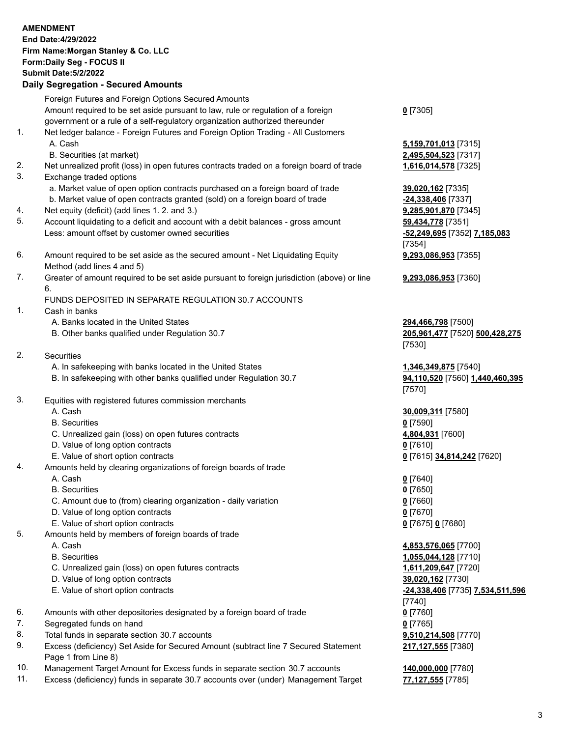|     | <b>AMENDMENT</b><br>End Date: 4/29/2022                                                     |                                  |
|-----|---------------------------------------------------------------------------------------------|----------------------------------|
|     | Firm Name: Morgan Stanley & Co. LLC                                                         |                                  |
|     | Form: Daily Seg - FOCUS II                                                                  |                                  |
|     | <b>Submit Date: 5/2/2022</b>                                                                |                                  |
|     |                                                                                             |                                  |
|     | <b>Daily Segregation - Secured Amounts</b>                                                  |                                  |
|     | Foreign Futures and Foreign Options Secured Amounts                                         |                                  |
|     | Amount required to be set aside pursuant to law, rule or regulation of a foreign            | $0$ [7305]                       |
|     | government or a rule of a self-regulatory organization authorized thereunder                |                                  |
| 1.  | Net ledger balance - Foreign Futures and Foreign Option Trading - All Customers             |                                  |
|     | A. Cash                                                                                     | 5,159,701,013 [7315]             |
|     | B. Securities (at market)                                                                   | 2,495,504,523 [7317]             |
| 2.  | Net unrealized profit (loss) in open futures contracts traded on a foreign board of trade   | 1,616,014,578 [7325]             |
| 3.  | Exchange traded options                                                                     |                                  |
|     | a. Market value of open option contracts purchased on a foreign board of trade              | 39,020,162 [7335]                |
|     | b. Market value of open contracts granted (sold) on a foreign board of trade                | -24,338,406 [7337]               |
| 4.  | Net equity (deficit) (add lines 1. 2. and 3.)                                               | 9,285,901,870 [7345]             |
| 5.  | Account liquidating to a deficit and account with a debit balances - gross amount           | 59,434,778 [7351]                |
|     |                                                                                             |                                  |
|     | Less: amount offset by customer owned securities                                            | -52,249,695 [7352] 7,185,083     |
|     |                                                                                             | [7354]                           |
| 6.  | Amount required to be set aside as the secured amount - Net Liquidating Equity              | 9,293,086,953 [7355]             |
|     | Method (add lines 4 and 5)                                                                  |                                  |
| 7.  | Greater of amount required to be set aside pursuant to foreign jurisdiction (above) or line | 9,293,086,953 [7360]             |
|     | 6.                                                                                          |                                  |
|     | FUNDS DEPOSITED IN SEPARATE REGULATION 30.7 ACCOUNTS                                        |                                  |
| 1.  | Cash in banks                                                                               |                                  |
|     | A. Banks located in the United States                                                       | 294,466,798 [7500]               |
|     | B. Other banks qualified under Regulation 30.7                                              | 205,961,477 [7520] 500,428,275   |
|     |                                                                                             | [7530]                           |
| 2.  | Securities                                                                                  |                                  |
|     | A. In safekeeping with banks located in the United States                                   | 1,346,349,875 [7540]             |
|     | B. In safekeeping with other banks qualified under Regulation 30.7                          | 94,110,520 [7560] 1,440,460,395  |
|     |                                                                                             | [7570]                           |
| 3.  | Equities with registered futures commission merchants                                       |                                  |
|     | A. Cash                                                                                     | 30,009,311 [7580]                |
|     | <b>B.</b> Securities                                                                        | $0$ [7590]                       |
|     | C. Unrealized gain (loss) on open futures contracts                                         | 4,804,931 [7600]                 |
|     | D. Value of long option contracts                                                           | $0$ [7610]                       |
|     | E. Value of short option contracts                                                          | 0 [7615] 34,814,242 [7620]       |
| 4.  | Amounts held by clearing organizations of foreign boards of trade                           |                                  |
|     | A. Cash                                                                                     | $0$ [7640]                       |
|     | <b>B.</b> Securities                                                                        | $0$ [7650]                       |
|     | C. Amount due to (from) clearing organization - daily variation                             | $0$ [7660]                       |
|     | D. Value of long option contracts                                                           | $0$ [7670]                       |
|     | E. Value of short option contracts                                                          | 0 [7675] 0 [7680]                |
| 5.  | Amounts held by members of foreign boards of trade                                          |                                  |
|     |                                                                                             |                                  |
|     | A. Cash                                                                                     | 4,853,576,065 [7700]             |
|     | <b>B.</b> Securities                                                                        | 1,055,044,128 [7710]             |
|     | C. Unrealized gain (loss) on open futures contracts                                         | 1,611,209,647 [7720]             |
|     | D. Value of long option contracts                                                           | 39,020,162 [7730]                |
|     | E. Value of short option contracts                                                          | -24,338,406 [7735] 7,534,511,596 |
|     |                                                                                             | [7740]                           |
| 6.  | Amounts with other depositories designated by a foreign board of trade                      | $0$ [7760]                       |
| 7.  | Segregated funds on hand                                                                    | $0$ [7765]                       |
| 8.  | Total funds in separate section 30.7 accounts                                               | 9,510,214,508 [7770]             |
| 9.  | Excess (deficiency) Set Aside for Secured Amount (subtract line 7 Secured Statement         | 217,127,555 [7380]               |
|     | Page 1 from Line 8)                                                                         |                                  |
| 10. | Management Target Amount for Excess funds in separate section 30.7 accounts                 | 140,000,000 [7780]               |

11. Excess (deficiency) funds in separate 30.7 accounts over (under) Management Target **77,127,555** [7785]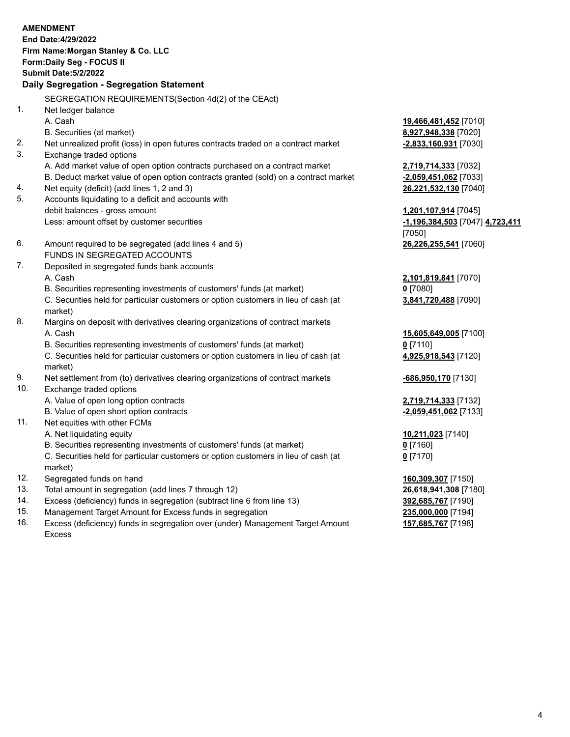|     | <b>AMENDMENT</b><br>End Date: 4/29/2022<br>Firm Name: Morgan Stanley & Co. LLC                 |                                  |
|-----|------------------------------------------------------------------------------------------------|----------------------------------|
|     | Form: Daily Seg - FOCUS II                                                                     |                                  |
|     | <b>Submit Date: 5/2/2022</b>                                                                   |                                  |
|     | Daily Segregation - Segregation Statement                                                      |                                  |
|     | SEGREGATION REQUIREMENTS(Section 4d(2) of the CEAct)                                           |                                  |
| 1.  | Net ledger balance                                                                             |                                  |
|     | A. Cash                                                                                        | 19,466,481,452 [7010]            |
|     | B. Securities (at market)                                                                      | 8,927,948,338 [7020]             |
| 2.  | Net unrealized profit (loss) in open futures contracts traded on a contract market             | $-2,833,160,931$ [7030]          |
| 3.  | Exchange traded options                                                                        |                                  |
|     | A. Add market value of open option contracts purchased on a contract market                    | 2,719,714,333 [7032]             |
|     | B. Deduct market value of open option contracts granted (sold) on a contract market            | -2,059,451,062 [7033]            |
| 4.  | Net equity (deficit) (add lines 1, 2 and 3)                                                    | 26,221,532,130 [7040]            |
| 5.  | Accounts liquidating to a deficit and accounts with                                            |                                  |
|     | debit balances - gross amount                                                                  | 1,201,107,914 [7045]             |
|     | Less: amount offset by customer securities                                                     | -1,196,384,503 [7047] 4,723,411  |
|     |                                                                                                | [7050]                           |
| 6.  | Amount required to be segregated (add lines 4 and 5)                                           | 26,226,255,541 [7060]            |
|     | FUNDS IN SEGREGATED ACCOUNTS                                                                   |                                  |
| 7.  | Deposited in segregated funds bank accounts                                                    |                                  |
|     | A. Cash                                                                                        | 2,101,819,841 [7070]             |
|     | B. Securities representing investments of customers' funds (at market)                         | $0$ [7080]                       |
|     | C. Securities held for particular customers or option customers in lieu of cash (at<br>market) | 3,841,720,488 [7090]             |
| 8.  | Margins on deposit with derivatives clearing organizations of contract markets                 |                                  |
|     | A. Cash                                                                                        | 15,605,649,005 [7100]            |
|     | B. Securities representing investments of customers' funds (at market)                         | $0$ [7110]                       |
|     | C. Securities held for particular customers or option customers in lieu of cash (at<br>market) | 4,925,918,543 [7120]             |
| 9.  | Net settlement from (to) derivatives clearing organizations of contract markets                | <u>-686,950,170</u> [7130]       |
| 10. | Exchange traded options                                                                        |                                  |
|     | A. Value of open long option contracts                                                         | 2,719,714,333 [7132]             |
|     | B. Value of open short option contracts                                                        | -2,059,451,062 <sup>[7133]</sup> |
| 11. | Net equities with other FCMs                                                                   |                                  |
|     | A. Net liquidating equity                                                                      | 10,211,023 [7140]                |
|     | B. Securities representing investments of customers' funds (at market)                         | $0$ [7160]                       |
|     | C. Securities held for particular customers or option customers in lieu of cash (at<br>market) | $0$ [7170]                       |
| 12. | Segregated funds on hand                                                                       | 160,309,307 [7150]               |
| 13. | Total amount in segregation (add lines 7 through 12)                                           | 26,618,941,308 [7180]            |
| 14. | Excess (deficiency) funds in segregation (subtract line 6 from line 13)                        | 392,685,767 [7190]               |
|     |                                                                                                |                                  |

15. Management Target Amount for Excess funds in segregation<br>16. Excess (deficiency) funds in segregation over (under) Management Target Amount 157,685,767 [7198] Excess (deficiency) funds in segregation over (under) Management Target Amount Excess

**157,685,767** [7198]